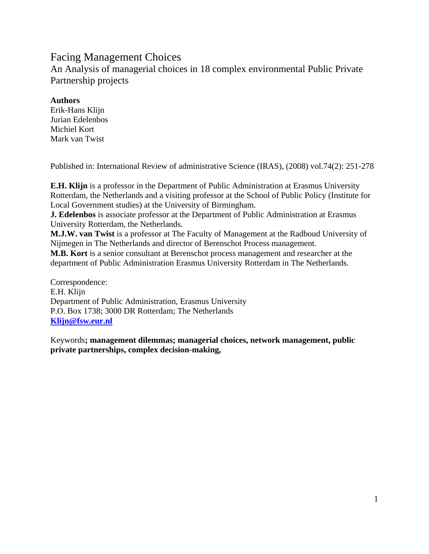# Facing Management Choices

An Analysis of managerial choices in 18 complex environmental Public Private Partnership projects

# **Authors**

Erik-Hans Klijn Jurian Edelenbos Michiel Kort Mark van Twist

Published in: International Review of administrative Science (IRAS), (2008) vol.74(2): 251-278

**E.H. Klijn** is a professor in the Department of Public Administration at Erasmus University Rotterdam, the Netherlands and a visiting professor at the School of Public Policy (Institute for Local Government studies) at the University of Birmingham.

**J. Edelenbos** is associate professor at the Department of Public Administration at Erasmus University Rotterdam, the Netherlands.

**M.J.W. van Twist** is a professor at The Faculty of Management at the Radboud University of Nijmegen in The Netherlands and director of Berenschot Process management.

**M.B. Kort** is a senior consultant at Berenschot process management and researcher at the department of Public Administration Erasmus University Rotterdam in The Netherlands.

Correspondence: E.H. Klijn Department of Public Administration, Erasmus University P.O. Box 1738; 3000 DR Rotterdam; The Netherlands **[Klijn@fsw.eur.nl](mailto:Klijn@fsw.eur.nl)**

Keywords**; management dilemmas; managerial choices, network management, public private partnerships, complex decision-making,**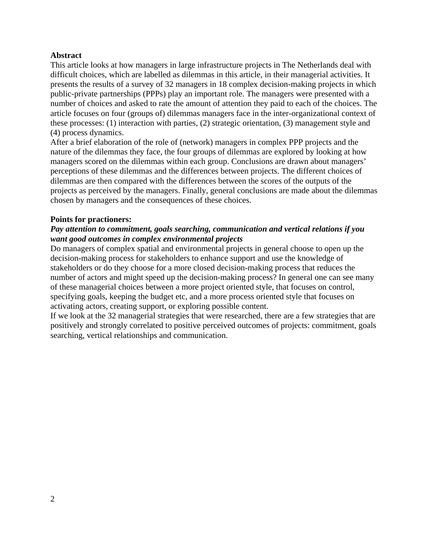# **Abstract**

This article looks at how managers in large infrastructure projects in The Netherlands deal with difficult choices, which are labelled as dilemmas in this article, in their managerial activities. It presents the results of a survey of 32 managers in 18 complex decision-making projects in which public-private partnerships (PPPs) play an important role. The managers were presented with a number of choices and asked to rate the amount of attention they paid to each of the choices. The article focuses on four (groups of) dilemmas managers face in the inter-organizational context of these processes: (1) interaction with parties, (2) strategic orientation, (3) management style and (4) process dynamics.

After a brief elaboration of the role of (network) managers in complex PPP projects and the nature of the dilemmas they face, the four groups of dilemmas are explored by looking at how managers scored on the dilemmas within each group. Conclusions are drawn about managers' perceptions of these dilemmas and the differences between projects. The different choices of dilemmas are then compared with the differences between the scores of the outputs of the projects as perceived by the managers. Finally, general conclusions are made about the dilemmas chosen by managers and the consequences of these choices.

# **Points for practioners:**

# *Pay attention to commitment, goals searching, communication and vertical relations if you want good outcomes in complex environmental projects*

Do managers of complex spatial and environmental projects in general choose to open up the decision-making process for stakeholders to enhance support and use the knowledge of stakeholders or do they choose for a more closed decision-making process that reduces the number of actors and might speed up the decision-making process? In general one can see many of these managerial choices between a more project oriented style, that focuses on control, specifying goals, keeping the budget etc, and a more process oriented style that focuses on activating actors, creating support, or exploring possible content.

If we look at the 32 managerial strategies that were researched, there are a few strategies that are positively and strongly correlated to positive perceived outcomes of projects: commitment, goals searching, vertical relationships and communication.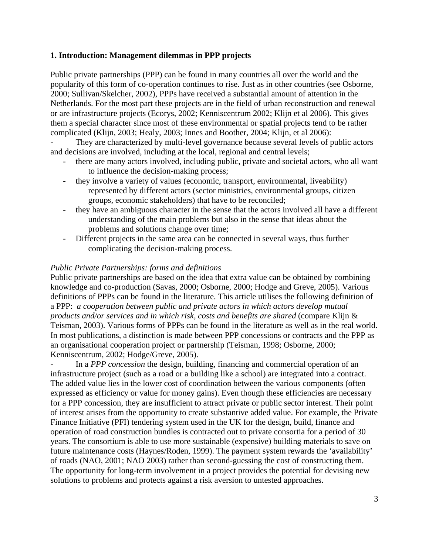# **1. Introduction: Management dilemmas in PPP projects**

Public private partnerships (PPP) can be found in many countries all over the world and the popularity of this form of co-operation continues to rise. Just as in other countries (see Osborne, 2000; Sullivan/Skelcher, 2002), PPPs have received a substantial amount of attention in the Netherlands. For the most part these projects are in the field of urban reconstruction and renewal or are infrastructure projects (Ecorys, 2002; Kenniscentrum 2002; Klijn et al 2006). This gives them a special character since most of these environmental or spatial projects tend to be rather complicated (Klijn, 2003; Healy, 2003; Innes and Boother, 2004; Klijn, et al 2006):

They are characterized by multi-level governance because several levels of public actors and decisions are involved, including at the local, regional and central levels;

- there are many actors involved, including public, private and societal actors, who all want to influence the decision-making process;
- they involve a variety of values (economic, transport, environmental, liveability) represented by different actors (sector ministries, environmental groups, citizen groups, economic stakeholders) that have to be reconciled;
- they have an ambiguous character in the sense that the actors involved all have a different understanding of the main problems but also in the sense that ideas about the problems and solutions change over time;
- Different projects in the same area can be connected in several ways, thus further complicating the decision-making process.

# *Public Private Partnerships: forms and definitions*

Public private partnerships are based on the idea that extra value can be obtained by combining knowledge and co-production (Savas, 2000; Osborne, 2000; Hodge and Greve, 2005). Various definitions of PPPs can be found in the literature. This article utilises the following definition of a PPP: *a cooperation between public and private actors in which actors develop mutual products and/or services and in which risk, costs and benefits are shared* (compare Klijn & Teisman, 2003). Various forms of PPPs can be found in the literature as well as in the real world. In most publications, a distinction is made between PPP concessions or contracts and the PPP as an organisational cooperation project or partnership (Teisman, 1998; Osborne, 2000; Kenniscentrum, 2002; Hodge/Greve, 2005).

- In a *PPP concession* the design, building, financing and commercial operation of an infrastructure project (such as a road or a building like a school) are integrated into a contract. The added value lies in the lower cost of coordination between the various components (often expressed as efficiency or value for money gains). Even though these efficiencies are necessary for a PPP concession, they are insufficient to attract private or public sector interest. Their point of interest arises from the opportunity to create substantive added value. For example, the Private Finance Initiative (PFI) tendering system used in the UK for the design, build, finance and operation of road construction bundles is contracted out to private consortia for a period of 30 years. The consortium is able to use more sustainable (expensive) building materials to save on future maintenance costs (Haynes/Roden, 1999). The payment system rewards the 'availability' of roads (NAO, 2001; NAO 2003) rather than second-guessing the cost of constructing them. The opportunity for long-term involvement in a project provides the potential for devising new solutions to problems and protects against a risk aversion to untested approaches.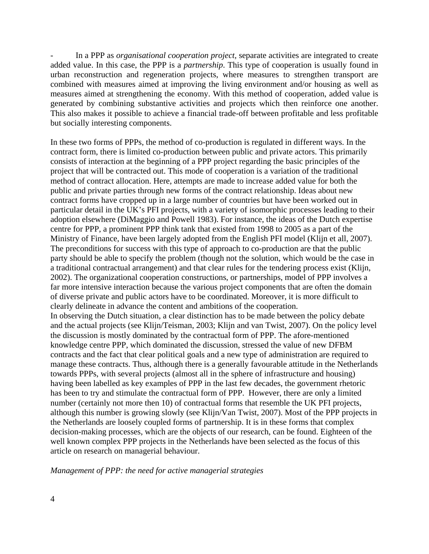- In a PPP as *organisational cooperation project,* separate activities are integrated to create added value. In this case, the PPP is a *partnership*. This type of cooperation is usually found in urban reconstruction and regeneration projects, where measures to strengthen transport are combined with measures aimed at improving the living environment and/or housing as well as measures aimed at strengthening the economy. With this method of cooperation, added value is generated by combining substantive activities and projects which then reinforce one another. This also makes it possible to achieve a financial trade-off between profitable and less profitable but socially interesting components.

In these two forms of PPPs, the method of co-production is regulated in different ways. In the contract form, there is limited co-production between public and private actors. This primarily consists of interaction at the beginning of a PPP project regarding the basic principles of the project that will be contracted out. This mode of cooperation is a variation of the traditional method of contract allocation. Here, attempts are made to increase added value for both the public and private parties through new forms of the contract relationship. Ideas about new contract forms have cropped up in a large number of countries but have been worked out in particular detail in the UK's PFI projects, with a variety of isomorphic processes leading to their adoption elsewhere (DiMaggio and Powell 1983). For instance, the ideas of the Dutch expertise centre for PPP, a prominent PPP think tank that existed from 1998 to 2005 as a part of the Ministry of Finance, have been largely adopted from the English PFI model (Klijn et all, 2007). The preconditions for success with this type of approach to co-production are that the public party should be able to specify the problem (though not the solution, which would be the case in a traditional contractual arrangement) and that clear rules for the tendering process exist (Klijn, 2002). The organizational cooperation constructions, or partnerships, model of PPP involves a far more intensive interaction because the various project components that are often the domain of diverse private and public actors have to be coordinated. Moreover, it is more difficult to clearly delineate in advance the content and ambitions of the cooperation. In observing the Dutch situation, a clear distinction has to be made between the policy debate and the actual projects (see Klijn/Teisman, 2003; Klijn and van Twist, 2007). On the policy level the discussion is mostly dominated by the contractual form of PPP. The afore-mentioned knowledge centre PPP, which dominated the discussion, stressed the value of new DFBM contracts and the fact that clear political goals and a new type of administration are required to manage these contracts. Thus, although there is a generally favourable attitude in the Netherlands towards PPPs, with several projects (almost all in the sphere of infrastructure and housing) having been labelled as key examples of PPP in the last few decades, the government rhetoric has been to try and stimulate the contractual form of PPP. However, there are only a limited number (certainly not more then 10) of contractual forms that resemble the UK PFI projects, although this number is growing slowly (see Klijn/Van Twist, 2007). Most of the PPP projects in the Netherlands are loosely coupled forms of partnership. It is in these forms that complex decision-making processes, which are the objects of our research, can be found. Eighteen of the well known complex PPP projects in the Netherlands have been selected as the focus of this article on research on managerial behaviour.

*Management of PPP: the need for active managerial strategies*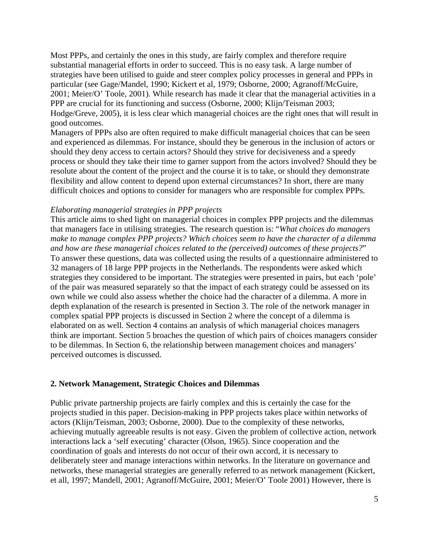Most PPPs, and certainly the ones in this study, are fairly complex and therefore require substantial managerial efforts in order to succeed. This is no easy task. A large number of strategies have been utilised to guide and steer complex policy processes in general and PPPs in particular (see Gage/Mandel, 1990; Kickert et al, 1979; Osborne, 2000; Agranoff/McGuire, 2001; Meier/O' Toole, 2001). While research has made it clear that the managerial activities in a PPP are crucial for its functioning and success (Osborne, 2000; Klijn/Teisman 2003; Hodge/Greve, 2005), it is less clear which managerial choices are the right ones that will result in good outcomes.

Managers of PPPs also are often required to make difficult managerial choices that can be seen and experienced as dilemmas. For instance, should they be generous in the inclusion of actors or should they deny access to certain actors? Should they strive for decisiveness and a speedy process or should they take their time to garner support from the actors involved? Should they be resolute about the content of the project and the course it is to take, or should they demonstrate flexibility and allow content to depend upon external circumstances? In short, there are many difficult choices and options to consider for managers who are responsible for complex PPPs.

#### *Elaborating managerial strategies in PPP projects*

This article aims to shed light on managerial choices in complex PPP projects and the dilemmas that managers face in utilising strategies. The research question is: "*What choices do managers make to manage complex PPP projects? Which choices seem to have the character of a dilemma and how are these managerial choices related to the (perceived) outcomes of these projects?*" To answer these questions, data was collected using the results of a questionnaire administered to 32 managers of 18 large PPP projects in the Netherlands. The respondents were asked which strategies they considered to be important. The strategies were presented in pairs, but each 'pole' of the pair was measured separately so that the impact of each strategy could be assessed on its own while we could also assess whether the choice had the character of a dilemma. A more in depth explanation of the research is presented in Section 3. The role of the network manager in complex spatial PPP projects is discussed in Section 2 where the concept of a dilemma is elaborated on as well. Section 4 contains an analysis of which managerial choices managers think are important. Section 5 broaches the question of which pairs of choices managers consider to be dilemmas. In Section 6, the relationship between management choices and managers' perceived outcomes is discussed.

#### **2. Network Management, Strategic Choices and Dilemmas**

Public private partnership projects are fairly complex and this is certainly the case for the projects studied in this paper. Decision-making in PPP projects takes place within networks of actors (Klijn/Teisman, 2003; Osborne, 2000). Due to the complexity of these networks, achieving mutually agreeable results is not easy. Given the problem of collective action, network interactions lack a 'self executing' character (Olson, 1965). Since cooperation and the coordination of goals and interests do not occur of their own accord, it is necessary to deliberately steer and manage interactions within networks. In the literature on governance and networks, these managerial strategies are generally referred to as network management (Kickert, et all, 1997; Mandell, 2001; Agranoff/McGuire, 2001; Meier/O' Toole 2001) However, there is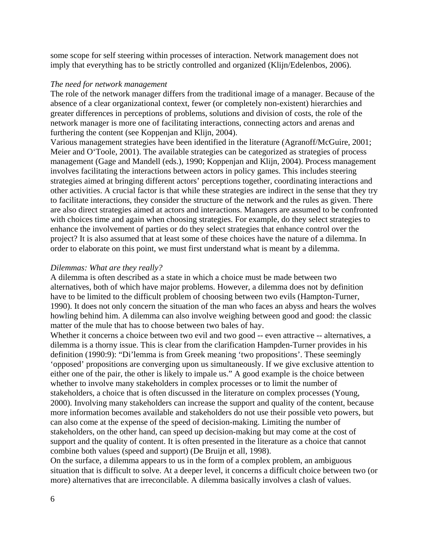some scope for self steering within processes of interaction. Network management does not imply that everything has to be strictly controlled and organized (Klijn/Edelenbos, 2006).

#### *The need for network management*

The role of the network manager differs from the traditional image of a manager. Because of the absence of a clear organizational context, fewer (or completely non-existent) hierarchies and greater differences in perceptions of problems, solutions and division of costs, the role of the network manager is more one of facilitating interactions, connecting actors and arenas and furthering the content (see Koppenjan and Klijn, 2004).

Various management strategies have been identified in the literature (Agranoff/McGuire, 2001; Meier and O'Toole, 2001). The available strategies can be categorized as strategies of process management (Gage and Mandell (eds.), 1990; Koppenjan and Klijn, 2004). Process management involves facilitating the interactions between actors in policy games. This includes steering strategies aimed at bringing different actors' perceptions together, coordinating interactions and other activities. A crucial factor is that while these strategies are indirect in the sense that they try to facilitate interactions, they consider the structure of the network and the rules as given. There are also direct strategies aimed at actors and interactions. Managers are assumed to be confronted with choices time and again when choosing strategies. For example, do they select strategies to enhance the involvement of parties or do they select strategies that enhance control over the project? It is also assumed that at least some of these choices have the nature of a dilemma. In order to elaborate on this point, we must first understand what is meant by a dilemma.

#### *Dilemmas: What are they really?*

A dilemma is often described as a state in which a choice must be made between two alternatives, both of which have major problems. However, a dilemma does not by definition have to be limited to the difficult problem of choosing between two evils (Hampton-Turner, 1990). It does not only concern the situation of the man who faces an abyss and hears the wolves howling behind him. A dilemma can also involve weighing between good and good: the classic matter of the mule that has to choose between two bales of hay.

Whether it concerns a choice between two evil and two good -- even attractive -- alternatives, a dilemma is a thorny issue. This is clear from the clarification Hampden-Turner provides in his definition (1990:9): "Di'lemma is from Greek meaning 'two propositions'. These seemingly 'opposed' propositions are converging upon us simultaneously. If we give exclusive attention to either one of the pair, the other is likely to impale us." A good example is the choice between whether to involve many stakeholders in complex processes or to limit the number of stakeholders, a choice that is often discussed in the literature on complex processes (Young, 2000). Involving many stakeholders can increase the support and quality of the content, because more information becomes available and stakeholders do not use their possible veto powers, but can also come at the expense of the speed of decision-making. Limiting the number of stakeholders, on the other hand, can speed up decision-making but may come at the cost of support and the quality of content. It is often presented in the literature as a choice that cannot combine both values (speed and support) (De Bruijn et all, 1998).

On the surface, a dilemma appears to us in the form of a complex problem, an ambiguous situation that is difficult to solve. At a deeper level, it concerns a difficult choice between two (or more) alternatives that are irreconcilable. A dilemma basically involves a clash of values.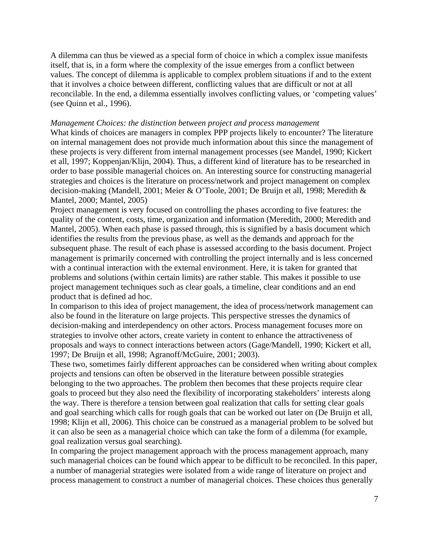A dilemma can thus be viewed as a special form of choice in which a complex issue manifests itself, that is, in a form where the complexity of the issue emerges from a conflict between values. The concept of dilemma is applicable to complex problem situations if and to the extent that it involves a choice between different, conflicting values that are difficult or not at all reconcilable. In the end, a dilemma essentially involves conflicting values, or 'competing values' (see Quinn et al., 1996).

#### *Management Choices: the distinction between project and process management*

What kinds of choices are managers in complex PPP projects likely to encounter? The literature on internal management does not provide much information about this since the management of these projects is very different from internal management processes (see Mandel, 1990; Kickert et all, 1997; Koppenjan/Klijn, 2004). Thus, a different kind of literature has to be researched in order to base possible managerial choices on. An interesting source for constructing managerial strategies and choices is the literature on process/network and project management on complex decision-making (Mandell, 2001; Meier & O'Toole, 2001; De Bruijn et all, 1998; Meredith & Mantel, 2000; Mantel, 2005)

Project management is very focused on controlling the phases according to five features: the quality of the content, costs, time, organization and information (Meredith, 2000; Meredith and Mantel, 2005). When each phase is passed through, this is signified by a basis document which identifies the results from the previous phase, as well as the demands and approach for the subsequent phase. The result of each phase is assessed according to the basis document. Project management is primarily concerned with controlling the project internally and is less concerned with a continual interaction with the external environment. Here, it is taken for granted that problems and solutions (within certain limits) are rather stable. This makes it possible to use project management techniques such as clear goals, a timeline, clear conditions and an end product that is defined ad hoc.

In comparison to this idea of project management, the idea of process/network management can also be found in the literature on large projects. This perspective stresses the dynamics of decision-making and interdependency on other actors. Process management focuses more on strategies to involve other actors, create variety in content to enhance the attractiveness of proposals and ways to connect interactions between actors (Gage/Mandell, 1990; Kickert et all, 1997; De Bruijn et all, 1998; Agranoff/McGuire, 2001; 2003).

These two, sometimes fairly different approaches can be considered when writing about complex projects and tensions can often be observed in the literature between possible strategies belonging to the two approaches. The problem then becomes that these projects require clear goals to proceed but they also need the flexibility of incorporating stakeholders' interests along the way. There is therefore a tension between goal realization that calls for setting clear goals and goal searching which calls for rough goals that can be worked out later on (De Bruijn et all, 1998; Klijn et all, 2006). This choice can be construed as a managerial problem to be solved but it can also be seen as a managerial choice which can take the form of a dilemma (for example, goal realization versus goal searching).

In comparing the project management approach with the process management approach, many such managerial choices can be found which appear to be difficult to be reconciled. In this paper, a number of managerial strategies were isolated from a wide range of literature on project and process management to construct a number of managerial choices. These choices thus generally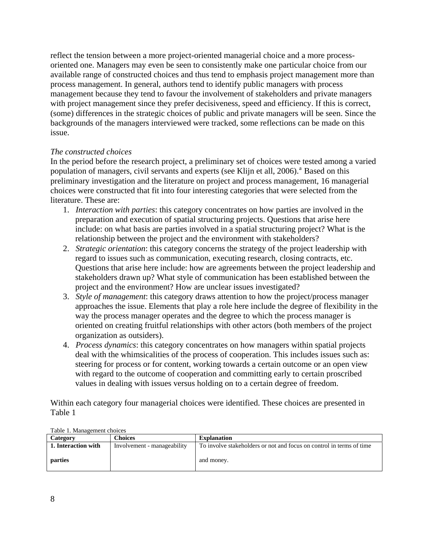reflect the tension between a more project-oriented managerial choice and a more processoriented one. Managers may even be seen to consistently make one particular choice from our available range of constructed choices and thus tend to emphasis project management more than process management. In general, authors tend to identify public managers with process management because they tend to favour the involvement of stakeholders and private managers with project management since they prefer decisiveness, speed and efficiency. If this is correct, (some) differences in the strategic choices of public and private managers will be seen. Since the backgrounds of the managers interviewed were tracked, some reflections can be made on this issue.

# *The constructed choices*

In the period before the research project, a preliminary set of choices were tested among a varied popul[a](#page-34-0)tion of managers, civil servants and experts (see Klijn et all, 2006).<sup>a</sup> Based on this preliminary investigation and the literature on project and process management, 16 managerial choices were constructed that fit into four interesting categories that were selected from the literature. These are:

- 1. *Interaction with parties*: this category concentrates on how parties are involved in the preparation and execution of spatial structuring projects. Questions that arise here include: on what basis are parties involved in a spatial structuring project? What is the relationship between the project and the environment with stakeholders?
- 2. *Strategic orientation*: this category concerns the strategy of the project leadership with regard to issues such as communication, executing research, closing contracts, etc. Questions that arise here include: how are agreements between the project leadership and stakeholders drawn up? What style of communication has been established between the project and the environment? How are unclear issues investigated?
- 3. *Style of management*: this category draws attention to how the project/process manager approaches the issue. Elements that play a role here include the degree of flexibility in the way the process manager operates and the degree to which the process manager is oriented on creating fruitful relationships with other actors (both members of the project organization as outsiders).
- 4. *Process dynamics*: this category concentrates on how managers within spatial projects deal with the whimsicalities of the process of cooperation. This includes issues such as: steering for process or for content, working towards a certain outcome or an open view with regard to the outcome of cooperation and committing early to certain proscribed values in dealing with issues versus holding on to a certain degree of freedom.

Within each category four managerial choices were identified. These choices are presented in Table 1

| Categorv            | Choices                     | <b>Explanation</b>                                                   |  |  |
|---------------------|-----------------------------|----------------------------------------------------------------------|--|--|
| 1. Interaction with | Involvement - manageability | To involve stakeholders or not and focus on control in terms of time |  |  |
| parties             |                             | and money.                                                           |  |  |

Table 1. Management choices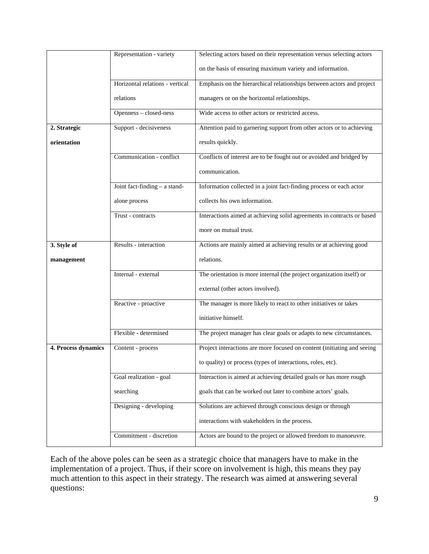|                     | Representation - variety        | Selecting actors based on their representation versus selecting actors  |
|---------------------|---------------------------------|-------------------------------------------------------------------------|
|                     |                                 | on the basis of ensuring maximum variety and information.               |
|                     | Horizontal relations - vertical | Emphasis on the hierarchical relationships between actors and project   |
|                     | relations                       | managers or on the horizontal relationships.                            |
|                     | Openness - closed-ness          | Wide access to other actors or restricted access.                       |
| 2. Strategic        | Support - decisiveness          | Attention paid to garnering support from other actors or to achieving   |
| orientation         |                                 | results quickly.                                                        |
|                     | Communication - conflict        | Conflicts of interest are to be fought out or avoided and bridged by    |
|                     |                                 | communication.                                                          |
|                     | Joint fact-finding - a stand-   | Information collected in a joint fact-finding process or each actor     |
|                     | alone process                   | collects his own information.                                           |
|                     | Trust - contracts               | Interactions aimed at achieving solid agreements in contracts or based  |
|                     |                                 | more on mutual trust.                                                   |
| 3. Style of         | Results - interaction           | Actions are mainly aimed at achieving results or at achieving good      |
| management          |                                 | relations.                                                              |
|                     | Internal - external             | The orientation is more internal (the project organization itself) or   |
|                     |                                 | external (other actors involved).                                       |
|                     | Reactive - proactive            | The manager is more likely to react to other initiatives or takes       |
|                     |                                 | initiative himself.                                                     |
|                     | Flexible - determined           | The project manager has clear goals or adapts to new circumstances.     |
| 4. Process dynamics | Content - process               | Project interactions are more focused on content (initiating and seeing |
|                     |                                 | to quality) or process (types of interactions, roles, etc).             |
|                     | Goal realization - goal         | Interaction is aimed at achieving detailed goals or has more rough      |
|                     | searching                       | goals that can be worked out later to combine actors' goals.            |
|                     | Designing - developing          | Solutions are achieved through conscious design or through              |
|                     |                                 | interactions with stakeholders in the process.                          |
|                     | Commitment - discretion         | Actors are bound to the project or allowed freedom to manoeuvre.        |

Each of the above poles can be seen as a strategic choice that managers have to make in the implementation of a project. Thus, if their score on involvement is high, this means they pay much attention to this aspect in their strategy. The research was aimed at answering several questions: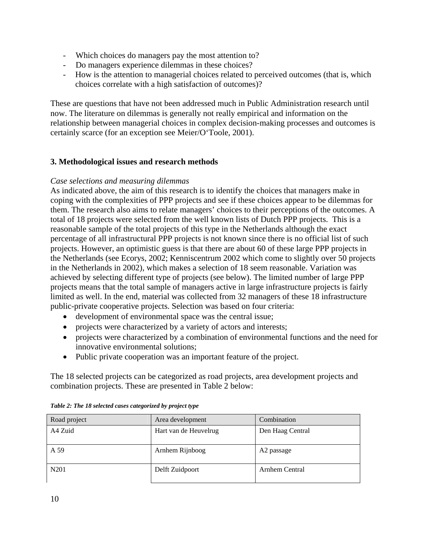- Which choices do managers pay the most attention to?
- Do managers experience dilemmas in these choices?
- How is the attention to managerial choices related to perceived outcomes (that is, which choices correlate with a high satisfaction of outcomes)?

These are questions that have not been addressed much in Public Administration research until now. The literature on dilemmas is generally not really empirical and information on the relationship between managerial choices in complex decision-making processes and outcomes is certainly scarce (for an exception see Meier/O'Toole, 2001).

# **3. Methodological issues and research methods**

# *Case selections and measuring dilemmas*

As indicated above, the aim of this research is to identify the choices that managers make in coping with the complexities of PPP projects and see if these choices appear to be dilemmas for them. The research also aims to relate managers' choices to their perceptions of the outcomes. A total of 18 projects were selected from the well known lists of Dutch PPP projects. This is a reasonable sample of the total projects of this type in the Netherlands although the exact percentage of all infrastructural PPP projects is not known since there is no official list of such projects. However, an optimistic guess is that there are about 60 of these large PPP projects in the Netherlands (see Ecorys, 2002; Kenniscentrum 2002 which come to slightly over 50 projects in the Netherlands in 2002), which makes a selection of 18 seem reasonable. Variation was achieved by selecting different type of projects (see below). The limited number of large PPP projects means that the total sample of managers active in large infrastructure projects is fairly limited as well. In the end, material was collected from 32 managers of these 18 infrastructure public-private cooperative projects. Selection was based on four criteria:

- development of environmental space was the central issue;
- projects were characterized by a variety of actors and interests;
- projects were characterized by a combination of environmental functions and the need for innovative environmental solutions;
- Public private cooperation was an important feature of the project.

The 18 selected projects can be categorized as road projects, area development projects and combination projects. These are presented in Table 2 below:

| Road project      | Area development      | Combination            |
|-------------------|-----------------------|------------------------|
| A4 Zuid           | Hart van de Heuvelrug | Den Haag Central       |
| A 59              | Arnhem Rijnboog       | A <sub>2</sub> passage |
| N <sub>2</sub> 01 | Delft Zuidpoort       | Arnhem Central         |

*Table 2: The 18 selected cases categorized by project type*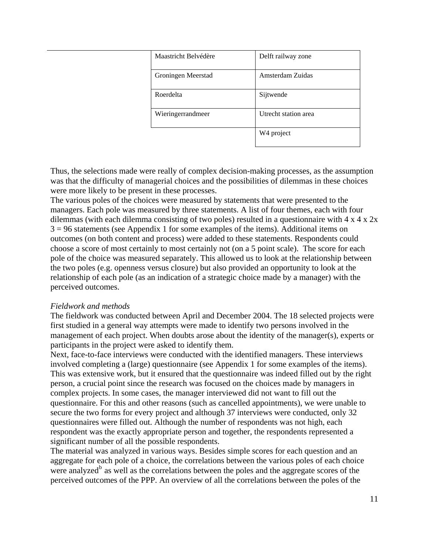| Maastricht Belvédère | Delft railway zone     |
|----------------------|------------------------|
| Groningen Meerstad   | Amsterdam Zuidas       |
| Roerdelta            | Sijtwende              |
| Wieringerrandmeer    | Utrecht station area   |
|                      | W <sub>4</sub> project |

Thus, the selections made were really of complex decision-making processes, as the assumption was that the difficulty of managerial choices and the possibilities of dilemmas in these choices were more likely to be present in these processes.

The various poles of the choices were measured by statements that were presented to the managers. Each pole was measured by three statements. A list of four themes, each with four dilemmas (with each dilemma consisting of two poles) resulted in a questionnaire with 4 x 4 x 2x 3 = 96 statements (see Appendix 1 for some examples of the items). Additional items on outcomes (on both content and process) were added to these statements. Respondents could choose a score of most certainly to most certainly not (on a 5 point scale). The score for each pole of the choice was measured separately. This allowed us to look at the relationship between the two poles (e.g. openness versus closure) but also provided an opportunity to look at the relationship of each pole (as an indication of a strategic choice made by a manager) with the perceived outcomes.

# *Fieldwork and methods*

The fieldwork was conducted between April and December 2004. The 18 selected projects were first studied in a general way attempts were made to identify two persons involved in the management of each project. When doubts arose about the identity of the manager(s), experts or participants in the project were asked to identify them.

Next, face-to-face interviews were conducted with the identified managers. These interviews involved completing a (large) questionnaire (see Appendix 1 for some examples of the items). This was extensive work, but it ensured that the questionnaire was indeed filled out by the right person, a crucial point since the research was focused on the choices made by managers in complex projects. In some cases, the manager interviewed did not want to fill out the questionnaire. For this and other reasons (such as cancelled appointments), we were unable to secure the two forms for every project and although 37 interviews were conducted, only 32 questionnaires were filled out. Although the number of respondents was not high, each respondent was the exactly appropriate person and together, the respondents represented a significant number of all the possible respondents.

The material was analyzed in various ways. Besides simple scores for each question and an aggregate for each pole of a choice, the correlations between the various poles of each choice were analyzed<sup>[b](#page-34-1)</sup> as well as the correlations between the poles and the aggregate scores of the perceived outcomes of the PPP. An overview of all the correlations between the poles of the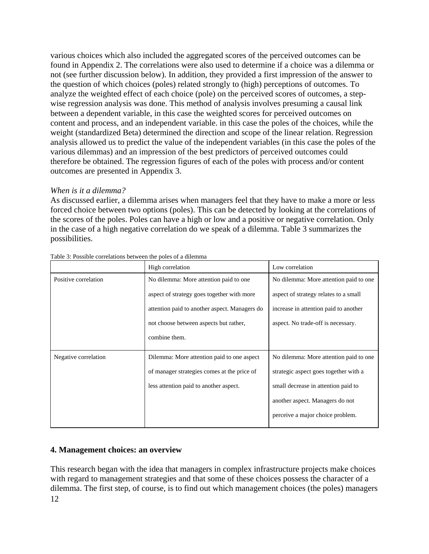various choices which also included the aggregated scores of the perceived outcomes can be found in Appendix 2. The correlations were also used to determine if a choice was a dilemma or not (see further discussion below). In addition, they provided a first impression of the answer to the question of which choices (poles) related strongly to (high) perceptions of outcomes. To analyze the weighted effect of each choice (pole) on the perceived scores of outcomes, a stepwise regression analysis was done. This method of analysis involves presuming a causal link between a dependent variable, in this case the weighted scores for perceived outcomes on content and process, and an independent variable. in this case the poles of the choices, while the weight (standardized Beta) determined the direction and scope of the linear relation. Regression analysis allowed us to predict the value of the independent variables (in this case the poles of the various dilemmas) and an impression of the best predictors of perceived outcomes could therefore be obtained. The regression figures of each of the poles with process and/or content outcomes are presented in Appendix 3.

# *When is it a dilemma?*

As discussed earlier, a dilemma arises when managers feel that they have to make a more or less forced choice between two options (poles). This can be detected by looking at the correlations of the scores of the poles. Poles can have a high or low and a positive or negative correlation. Only in the case of a high negative correlation do we speak of a dilemma. Table 3 summarizes the possibilities.

|                      | High correlation                              | Low correlation                        |
|----------------------|-----------------------------------------------|----------------------------------------|
| Positive correlation | No dilemma: More attention paid to one        | No dilemma: More attention paid to one |
|                      | aspect of strategy goes together with more    | aspect of strategy relates to a small  |
|                      | attention paid to another aspect. Managers do | increase in attention paid to another  |
|                      | not choose between aspects but rather,        | aspect. No trade-off is necessary.     |
|                      | combine them.                                 |                                        |
| Negative correlation | Dilemma: More attention paid to one aspect    | No dilemma: More attention paid to one |
|                      | of manager strategies comes at the price of   | strategic aspect goes together with a  |
|                      | less attention paid to another aspect.        | small decrease in attention paid to    |
|                      |                                               | another aspect. Managers do not        |
|                      |                                               | perceive a major choice problem.       |

|  |  |  |  | Table 3: Possible correlations between the poles of a dilemma |
|--|--|--|--|---------------------------------------------------------------|
|  |  |  |  |                                                               |

# **4. Management choices: an overview**

12 This research began with the idea that managers in complex infrastructure projects make choices with regard to management strategies and that some of these choices possess the character of a dilemma. The first step, of course, is to find out which management choices (the poles) managers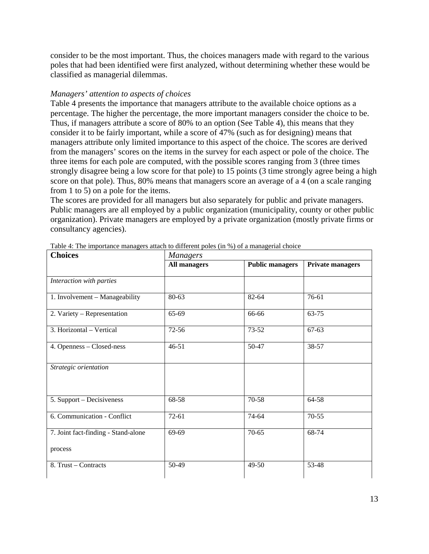consider to be the most important. Thus, the choices managers made with regard to the various poles that had been identified were first analyzed, without determining whether these would be classified as managerial dilemmas.

#### *Managers' attention to aspects of choices*

Table 4 presents the importance that managers attribute to the available choice options as a percentage. The higher the percentage, the more important managers consider the choice to be. Thus, if managers attribute a score of 80% to an option (See Table 4), this means that they consider it to be fairly important, while a score of 47% (such as for designing) means that managers attribute only limited importance to this aspect of the choice. The scores are derived from the managers' scores on the items in the survey for each aspect or pole of the choice. The three items for each pole are computed, with the possible scores ranging from 3 (three times strongly disagree being a low score for that pole) to 15 points (3 time strongly agree being a high score on that pole). Thus, 80% means that managers score an average of a 4 (on a scale ranging from 1 to 5) on a pole for the items.

The scores are provided for all managers but also separately for public and private managers. Public managers are all employed by a public organization (municipality, county or other public organization). Private managers are employed by a private organization (mostly private firms or consultancy agencies).

| <b>Choices</b>                      | <b>Managers</b>     |                        |                         |  |
|-------------------------------------|---------------------|------------------------|-------------------------|--|
|                                     | <b>All managers</b> | <b>Public managers</b> | <b>Private managers</b> |  |
| Interaction with parties            |                     |                        |                         |  |
| 1. Involvement - Manageability      | 80-63               | 82-64                  | 76-61                   |  |
| 2. Variety – Representation         | 65-69               | 66-66                  | 63-75                   |  |
| 3. Horizontal - Vertical            | 72-56               | 73-52                  | 67-63                   |  |
| 4. Openness – Closed-ness           | $46 - 51$           | 50-47                  | 38-57                   |  |
| Strategic orientation               |                     |                        |                         |  |
| 5. Support - Decisiveness           | 68-58               | 70-58                  | 64-58                   |  |
| 6. Communication - Conflict         | 72-61               | 74-64                  | $70 - 55$               |  |
| 7. Joint fact-finding - Stand-alone | 69-69               | $70-65$                | 68-74                   |  |
| process                             |                     |                        |                         |  |
| 8. Trust – Contracts                | 50-49               | 49-50                  | 53-48                   |  |

Table 4: The importance managers attach to different poles (in %) of a managerial choice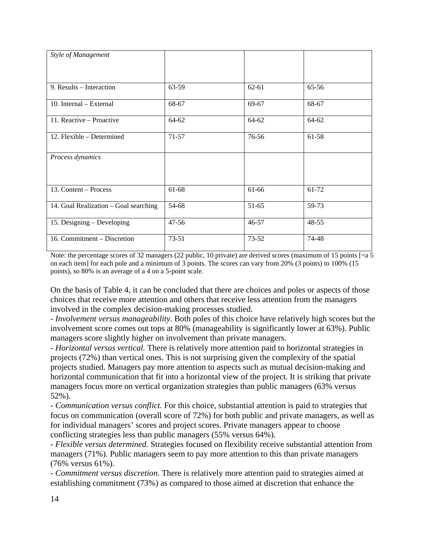| <b>Style of Management</b>            |           |           |       |
|---------------------------------------|-----------|-----------|-------|
| 9. Results – Interaction              | 63-59     | $62 - 61$ | 65-56 |
| 10. Internal - External               | 68-67     | 69-67     | 68-67 |
| 11. Reactive – Proactive              | 64-62     | 64-62     | 64-62 |
| 12. Flexible - Determined             | $71 - 57$ | 76-56     | 61-58 |
| Process dynamics                      |           |           |       |
|                                       |           |           |       |
| 13. Content – Process                 | 61-68     | 61-66     | 61-72 |
| 14. Goal Realization - Goal searching | 54-68     | 51-65     | 59-73 |
| 15. Designing – Developing            | $47 - 56$ | $46 - 57$ | 48-55 |
| 16. Commitment – Discretion           | $73 - 51$ | 73-52     | 74-48 |

Note: the percentage scores of 32 managers (22 public, 10 private) are derived scores (maximum of 15 points  $[-a, 5]$ on each item] for each pole and a minimum of 3 points. The scores can vary from 20% (3 points) to 100% (15 points), so 80% is an average of a 4 on a 5-point scale.

On the basis of Table 4, it can be concluded that there are choices and poles or aspects of those choices that receive more attention and others that receive less attention from the managers involved in the complex decision-making processes studied.

*- Involvement versus manageability.* Both poles of this choice have relatively high scores but the involvement score comes out tops at 80% (manageability is significantly lower at 63%). Public managers score slightly higher on involvement than private managers.

- *Horizontal versus vertical.* There is relatively more attention paid to horizontal strategies in projects (72%) than vertical ones. This is not surprising given the complexity of the spatial projects studied. Managers pay more attention to aspects such as mutual decision-making and horizontal communication that fit into a horizontal view of the project. It is striking that private managers focus more on vertical organization strategies than public managers (63% versus 52%).

- *Communication versus conflict.* For this choice, substantial attention is paid to strategies that focus on communication (overall score of 72%) for both public and private managers, as well as for individual managers' scores and project scores. Private managers appear to choose conflicting strategies less than public managers (55% versus 64%).

- *Flexible versus determined.* Strategies focused on flexibility receive substantial attention from managers (71%). Public managers seem to pay more attention to this than private managers (76% versus 61%).

- *Commitment versus discretion.* There is relatively more attention paid to strategies aimed at establishing commitment (73%) as compared to those aimed at discretion that enhance the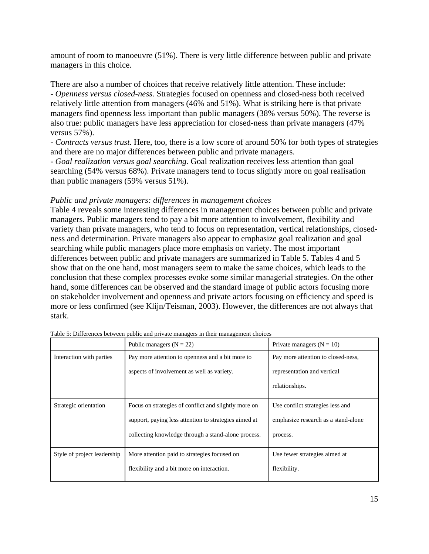amount of room to manoeuvre (51%). There is very little difference between public and private managers in this choice.

There are also a number of choices that receive relatively little attention. These include: - *Openness versus closed-ness.* Strategies focused on openness and closed-ness both received relatively little attention from managers (46% and 51%). What is striking here is that private managers find openness less important than public managers (38% versus 50%). The reverse is also true: public managers have less appreciation for closed-ness than private managers (47% versus 57%).

- *Contracts versus trust.* Here, too, there is a low score of around 50% for both types of strategies and there are no major differences between public and private managers.

- *Goal realization versus goal searching.* Goal realization receives less attention than goal searching (54% versus 68%). Private managers tend to focus slightly more on goal realisation than public managers (59% versus 51%).

# *Public and private managers: differences in management choices*

Table 4 reveals some interesting differences in management choices between public and private managers. Public managers tend to pay a bit more attention to involvement, flexibility and variety than private managers, who tend to focus on representation, vertical relationships, closedness and determination. Private managers also appear to emphasize goal realization and goal searching while public managers place more emphasis on variety. The most important differences between public and private managers are summarized in Table 5. Tables 4 and 5 show that on the one hand, most managers seem to make the same choices, which leads to the conclusion that these complex processes evoke some similar managerial strategies. On the other hand, some differences can be observed and the standard image of public actors focusing more on stakeholder involvement and openness and private actors focusing on efficiency and speed is more or less confirmed (see Klijn/Teisman, 2003). However, the differences are not always that stark.

|                             | Public managers ( $N = 22$ )                          | Private managers ( $N = 10$ )       |
|-----------------------------|-------------------------------------------------------|-------------------------------------|
| Interaction with parties    | Pay more attention to openness and a bit more to      | Pay more attention to closed-ness,  |
|                             | aspects of involvement as well as variety.            | representation and vertical         |
|                             |                                                       | relationships.                      |
| Strategic orientation       | Focus on strategies of conflict and slightly more on  | Use conflict strategies less and    |
|                             | support, paying less attention to strategies aimed at | emphasize research as a stand-alone |
|                             | collecting knowledge through a stand-alone process.   | process.                            |
| Style of project leadership | More attention paid to strategies focused on          | Use fewer strategies aimed at       |
|                             | flexibility and a bit more on interaction.            | flexibility.                        |

Table 5: Differences between public and private managers in their management choices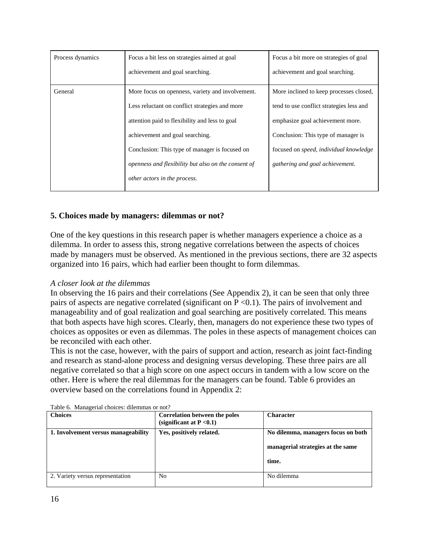| Process dynamics | Focus a bit less on strategies aimed at goal        | Focus a bit more on strategies of goal   |
|------------------|-----------------------------------------------------|------------------------------------------|
|                  | achievement and goal searching.                     | achievement and goal searching.          |
| General          | More focus on openness, variety and involvement.    | More inclined to keep processes closed,  |
|                  | Less reluctant on conflict strategies and more      | tend to use conflict strategies less and |
|                  | attention paid to flexibility and less to goal      | emphasize goal achievement more.         |
|                  | achievement and goal searching.                     | Conclusion: This type of manager is      |
|                  | Conclusion: This type of manager is focused on      | focused on speed, individual knowledge   |
|                  | openness and flexibility but also on the consent of | gathering and goal achievement.          |
|                  | other actors in the process.                        |                                          |

# **5. Choices made by managers: dilemmas or not?**

One of the key questions in this research paper is whether managers experience a choice as a dilemma. In order to assess this, strong negative correlations between the aspects of choices made by managers must be observed. As mentioned in the previous sections, there are 32 aspects organized into 16 pairs, which had earlier been thought to form dilemmas.

# *A closer look at the dilemmas*

In observing the 16 pairs and their correlations (See Appendix 2), it can be seen that only three pairs of aspects are negative correlated (significant on  $P \le 0.1$ ). The pairs of involvement and manageability and of goal realization and goal searching are positively correlated. This means that both aspects have high scores. Clearly, then, managers do not experience these two types of choices as opposites or even as dilemmas. The poles in these aspects of management choices can be reconciled with each other.

This is not the case, however, with the pairs of support and action, research as joint fact-finding and research as stand-alone process and designing versus developing. These three pairs are all negative correlated so that a high score on one aspect occurs in tandem with a low score on the other. Here is where the real dilemmas for the managers can be found. Table 6 provides an overview based on the correlations found in Appendix 2:

| Table 0. Managerial choices. unclimitas of not: |                                                              |                                                                                  |  |  |
|-------------------------------------------------|--------------------------------------------------------------|----------------------------------------------------------------------------------|--|--|
| <b>Choices</b>                                  | Correlation between the poles<br>(significant at $P < 0.1$ ) | <b>Character</b>                                                                 |  |  |
| 1. Involvement versus manageability             | Yes, positively related.                                     | No dilemma, managers focus on both<br>managerial strategies at the same<br>time. |  |  |
| 2. Variety versus representation                | No                                                           | No dilemma                                                                       |  |  |

Table 6. Managerial choices: dilemmas or not?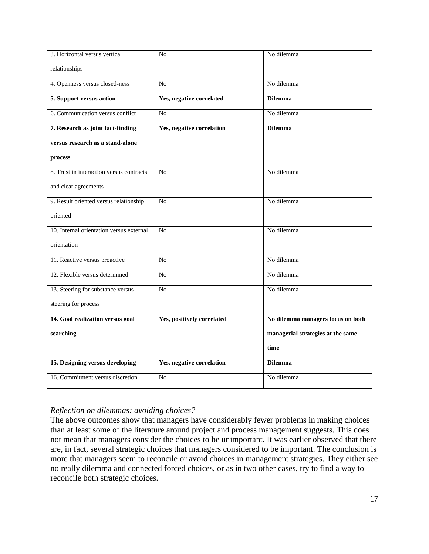| 3. Horizontal versus vertical            | N <sub>o</sub>             | No dilemma                        |
|------------------------------------------|----------------------------|-----------------------------------|
| relationships                            |                            |                                   |
| 4. Openness versus closed-ness           | N <sub>0</sub>             | No dilemma                        |
| 5. Support versus action                 | Yes, negative correlated   | <b>Dilemma</b>                    |
| 6. Communication versus conflict         | No                         | No dilemma                        |
| 7. Research as joint fact-finding        | Yes, negative correlation  | <b>Dilemma</b>                    |
| versus research as a stand-alone         |                            |                                   |
| process                                  |                            |                                   |
| 8. Trust in interaction versus contracts | No                         | No dilemma                        |
| and clear agreements                     |                            |                                   |
| 9. Result oriented versus relationship   | N <sub>o</sub>             | No dilemma                        |
| oriented                                 |                            |                                   |
| 10. Internal orientation versus external | $\overline{No}$            | No dilemma                        |
| orientation                              |                            |                                   |
| 11. Reactive versus proactive            | No                         | No dilemma                        |
| 12. Flexible versus determined           | No                         | No dilemma                        |
| 13. Steering for substance versus        | $\overline{No}$            | No dilemma                        |
| steering for process                     |                            |                                   |
| 14. Goal realization versus goal         | Yes, positively correlated | No dilemma managers focus on both |
| searching                                |                            | managerial strategies at the same |
|                                          |                            | time                              |
| 15. Designing versus developing          | Yes, negative correlation  | <b>Dilemma</b>                    |
| 16. Commitment versus discretion         | N <sub>o</sub>             | No dilemma                        |

# *Reflection on dilemmas: avoiding choices?*

The above outcomes show that managers have considerably fewer problems in making choices than at least some of the literature around project and process management suggests. This does not mean that managers consider the choices to be unimportant. It was earlier observed that there are, in fact, several strategic choices that managers considered to be important. The conclusion is more that managers seem to reconcile or avoid choices in management strategies. They either see no really dilemma and connected forced choices, or as in two other cases, try to find a way to reconcile both strategic choices.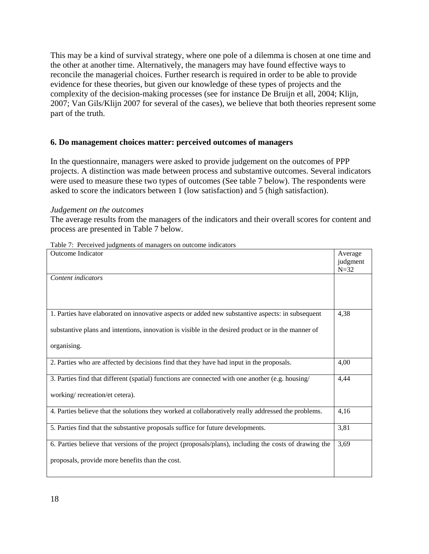This may be a kind of survival strategy, where one pole of a dilemma is chosen at one time and the other at another time. Alternatively, the managers may have found effective ways to reconcile the managerial choices. Further research is required in order to be able to provide evidence for these theories, but given our knowledge of these types of projects and the complexity of the decision-making processes (see for instance De Bruijn et all, 2004; Klijn, 2007; Van Gils/Klijn 2007 for several of the cases), we believe that both theories represent some part of the truth.

#### **6. Do management choices matter: perceived outcomes of managers**

In the questionnaire, managers were asked to provide judgement on the outcomes of PPP projects. A distinction was made between process and substantive outcomes. Several indicators were used to measure these two types of outcomes (See table 7 below). The respondents were asked to score the indicators between 1 (low satisfaction) and 5 (high satisfaction).

#### *Judgement on the outcomes*

The average results from the managers of the indicators and their overall scores for content and process are presented in Table 7 below.

| raore 7: 1 creerved judgments of managers on outcome marculors<br>Outcome Indicator                   | Average  |
|-------------------------------------------------------------------------------------------------------|----------|
|                                                                                                       | judgment |
|                                                                                                       | $N=32$   |
| Content indicators                                                                                    |          |
|                                                                                                       |          |
|                                                                                                       |          |
|                                                                                                       |          |
| 1. Parties have elaborated on innovative aspects or added new substantive aspects: in subsequent      | 4,38     |
|                                                                                                       |          |
| substantive plans and intentions, innovation is visible in the desired product or in the manner of    |          |
|                                                                                                       |          |
| organising.                                                                                           |          |
|                                                                                                       |          |
| 2. Parties who are affected by decisions find that they have had input in the proposals.              | 4,00     |
|                                                                                                       |          |
| 3. Parties find that different (spatial) functions are connected with one another (e.g. housing/      | 4,44     |
|                                                                                                       |          |
| working/recreation/et cetera).                                                                        |          |
|                                                                                                       |          |
| 4. Parties believe that the solutions they worked at collaboratively really addressed the problems.   | 4,16     |
|                                                                                                       | 3,81     |
| 5. Parties find that the substantive proposals suffice for future developments.                       |          |
| 6. Parties believe that versions of the project (proposals/plans), including the costs of drawing the | 3,69     |
|                                                                                                       |          |
| proposals, provide more benefits than the cost.                                                       |          |
|                                                                                                       |          |
|                                                                                                       |          |

Table 7: Perceived judgments of managers on outcome indicators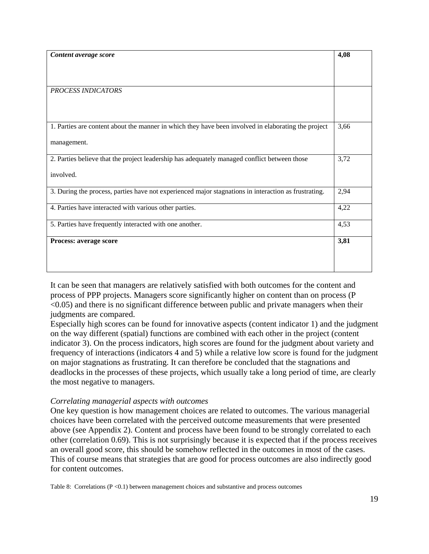| Content average score                                                                                | 4,08 |  |  |  |  |  |
|------------------------------------------------------------------------------------------------------|------|--|--|--|--|--|
|                                                                                                      |      |  |  |  |  |  |
|                                                                                                      |      |  |  |  |  |  |
| PROCESS INDICATORS                                                                                   |      |  |  |  |  |  |
|                                                                                                      |      |  |  |  |  |  |
|                                                                                                      |      |  |  |  |  |  |
| 1. Parties are content about the manner in which they have been involved in elaborating the project  | 3,66 |  |  |  |  |  |
| management.                                                                                          |      |  |  |  |  |  |
|                                                                                                      | 3,72 |  |  |  |  |  |
| 2. Parties believe that the project leadership has adequately managed conflict between those         |      |  |  |  |  |  |
| involved.                                                                                            |      |  |  |  |  |  |
|                                                                                                      |      |  |  |  |  |  |
| 3. During the process, parties have not experienced major stagnations in interaction as frustrating. | 2,94 |  |  |  |  |  |
| 4. Parties have interacted with various other parties.                                               | 4,22 |  |  |  |  |  |
|                                                                                                      |      |  |  |  |  |  |
| 5. Parties have frequently interacted with one another.                                              | 4,53 |  |  |  |  |  |
| Process: average score                                                                               | 3,81 |  |  |  |  |  |
|                                                                                                      |      |  |  |  |  |  |
|                                                                                                      |      |  |  |  |  |  |

It can be seen that managers are relatively satisfied with both outcomes for the content and process of PPP projects. Managers score significantly higher on content than on process (P  $\leq$ 0.05) and there is no significant difference between public and private managers when their judgments are compared.

Especially high scores can be found for innovative aspects (content indicator 1) and the judgment on the way different (spatial) functions are combined with each other in the project (content indicator 3). On the process indicators, high scores are found for the judgment about variety and frequency of interactions (indicators 4 and 5) while a relative low score is found for the judgment on major stagnations as frustrating. It can therefore be concluded that the stagnations and deadlocks in the processes of these projects, which usually take a long period of time, are clearly the most negative to managers.

# *Correlating managerial aspects with outcomes*

One key question is how management choices are related to outcomes. The various managerial choices have been correlated with the perceived outcome measurements that were presented above (see Appendix 2). Content and process have been found to be strongly correlated to each other (correlation 0.69). This is not surprisingly because it is expected that if the process receives an overall good score, this should be somehow reflected in the outcomes in most of the cases. This of course means that strategies that are good for process outcomes are also indirectly good for content outcomes.

Table 8: Correlations (P <0.1) between management choices and substantive and process outcomes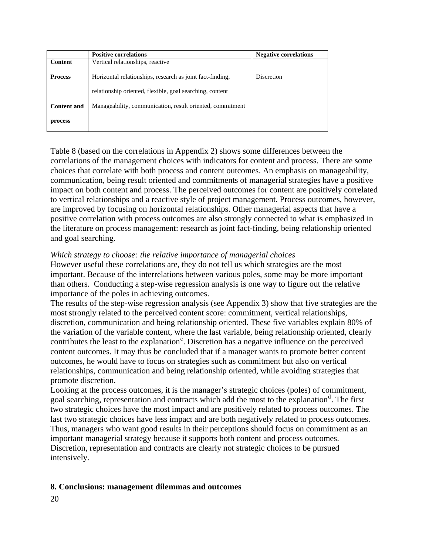|                               | <b>Positive correlations</b>                                                                                          | <b>Negative correlations</b> |
|-------------------------------|-----------------------------------------------------------------------------------------------------------------------|------------------------------|
| <b>Content</b>                | Vertical relationships, reactive                                                                                      |                              |
| <b>Process</b>                | Horizontal relationships, research as joint fact-finding,<br>relationship oriented, flexible, goal searching, content | <b>Discretion</b>            |
| <b>Content and</b><br>process | Manageability, communication, result oriented, commitment                                                             |                              |

Table 8 (based on the correlations in Appendix 2) shows some differences between the correlations of the management choices with indicators for content and process. There are some choices that correlate with both process and content outcomes. An emphasis on manageability, communication, being result oriented and commitments of managerial strategies have a positive impact on both content and process. The perceived outcomes for content are positively correlated to vertical relationships and a reactive style of project management. Process outcomes, however, are improved by focusing on horizontal relationships. Other managerial aspects that have a positive correlation with process outcomes are also strongly connected to what is emphasized in the literature on process management: research as joint fact-finding, being relationship oriented and goal searching.

# *Which strategy to choose: the relative importance of managerial choices*

However useful these correlations are, they do not tell us which strategies are the most important. Because of the interrelations between various poles, some may be more important than others. Conducting a step-wise regression analysis is one way to figure out the relative importance of the poles in achieving outcomes.

The results of the step-wise regression analysis (see Appendix 3) show that five strategies are the most strongly related to the perceived content score: commitment, vertical relationships, discretion, communication and being relationship oriented. These five variables explain 80% of the variation of the variable content, where the last variable, being relationship oriented, clearly [c](#page-34-1)ontributes the least to the explanation<sup>c</sup>. Discretion has a negative influence on the perceived content outcomes. It may thus be concluded that if a manager wants to promote better content outcomes, he would have to focus on strategies such as commitment but also on vertical relationships, communication and being relationship oriented, while avoiding strategies that promote discretion.

Looking at the process outcomes, it is the manager's strategic choices (poles) of commitment, goal searching, representation an[d](#page-34-1) contracts which add the most to the explanation<sup>d</sup>. The first two strategic choices have the most impact and are positively related to process outcomes. The last two strategic choices have less impact and are both negatively related to process outcomes. Thus, managers who want good results in their perceptions should focus on commitment as an important managerial strategy because it supports both content and process outcomes. Discretion, representation and contracts are clearly not strategic choices to be pursued intensively.

# **8. Conclusions: management dilemmas and outcomes**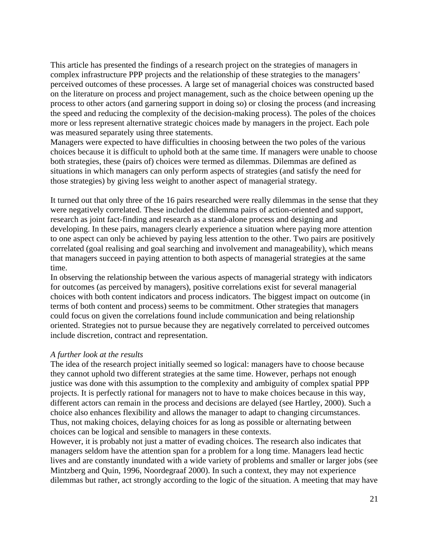This article has presented the findings of a research project on the strategies of managers in complex infrastructure PPP projects and the relationship of these strategies to the managers' perceived outcomes of these processes. A large set of managerial choices was constructed based on the literature on process and project management, such as the choice between opening up the process to other actors (and garnering support in doing so) or closing the process (and increasing the speed and reducing the complexity of the decision-making process). The poles of the choices more or less represent alternative strategic choices made by managers in the project. Each pole was measured separately using three statements.

Managers were expected to have difficulties in choosing between the two poles of the various choices because it is difficult to uphold both at the same time. If managers were unable to choose both strategies, these (pairs of) choices were termed as dilemmas. Dilemmas are defined as situations in which managers can only perform aspects of strategies (and satisfy the need for those strategies) by giving less weight to another aspect of managerial strategy.

It turned out that only three of the 16 pairs researched were really dilemmas in the sense that they were negatively correlated. These included the dilemma pairs of action-oriented and support, research as joint fact-finding and research as a stand-alone process and designing and developing. In these pairs, managers clearly experience a situation where paying more attention to one aspect can only be achieved by paying less attention to the other. Two pairs are positively correlated (goal realising and goal searching and involvement and manageability), which means that managers succeed in paying attention to both aspects of managerial strategies at the same time.

In observing the relationship between the various aspects of managerial strategy with indicators for outcomes (as perceived by managers), positive correlations exist for several managerial choices with both content indicators and process indicators. The biggest impact on outcome (in terms of both content and process) seems to be commitment. Other strategies that managers could focus on given the correlations found include communication and being relationship oriented. Strategies not to pursue because they are negatively correlated to perceived outcomes include discretion, contract and representation.

#### *A further look at the results*

The idea of the research project initially seemed so logical: managers have to choose because they cannot uphold two different strategies at the same time. However, perhaps not enough justice was done with this assumption to the complexity and ambiguity of complex spatial PPP projects. It is perfectly rational for managers not to have to make choices because in this way, different actors can remain in the process and decisions are delayed (see Hartley, 2000). Such a choice also enhances flexibility and allows the manager to adapt to changing circumstances. Thus, not making choices, delaying choices for as long as possible or alternating between choices can be logical and sensible to managers in these contexts.

However, it is probably not just a matter of evading choices. The research also indicates that managers seldom have the attention span for a problem for a long time. Managers lead hectic lives and are constantly inundated with a wide variety of problems and smaller or larger jobs (see Mintzberg and Quin, 1996, Noordegraaf 2000). In such a context, they may not experience dilemmas but rather, act strongly according to the logic of the situation. A meeting that may have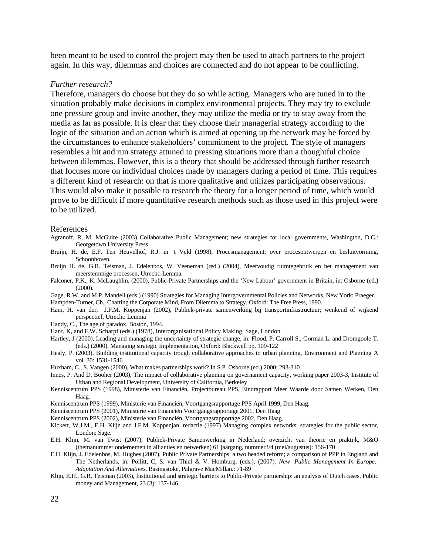been meant to be used to control the project may then be used to attach partners to the project again. In this way, dilemmas and choices are connected and do not appear to be conflicting.

#### *Further research?*

Therefore, managers do choose but they do so while acting. Managers who are tuned in to the situation probably make decisions in complex environmental projects. They may try to exclude one pressure group and invite another, they may utilize the media or try to stay away from the media as far as possible. It is clear that they choose their managerial strategy according to the logic of the situation and an action which is aimed at opening up the network may be forced by the circumstances to enhance stakeholders' commitment to the project. The style of managers resembles a hit and run strategy attuned to pressing situations more than a thoughtful choice between dilemmas. However, this is a theory that should be addressed through further research that focuses more on individual choices made by managers during a period of time. This requires a different kind of research: on that is more qualitative and utilizes participating observations. This would also make it possible to research the theory for a longer period of time, which would prove to be difficult if more quantitative research methods such as those used in this project were to be utilized.

#### References

- Agranoff, R, M. McGuire (2003) Collaborative Public Management; new strategies for local governments, Washington, D.C.: Georgetown University Press
- Bruijn, H. de, E.F. Ten Heuvelhof, R.J. in 't Veld (1998), Procesmanagement; over procesontwerpen en besluitvorming, Schoonhoven.
- Bruijn H. de, G.R. Teisman, J. Edelenbos, W. Veeneman (red.) (2004), Meervoudig ruimtegebruik en het management van meerstemmige processen, Utrecht: Lemma.
- Falconer, P.K., K. McLaughlin, (2000), Public-Private Partnerships and the 'New Labour' government in Britain, in: Osborne (ed.) (2000).
- Gage, R.W. and M.P. Mandell (eds.) (1990) Strategies for Managing Intergovernmental Policies and Networks, New York: Praeger.
- Hampden-Turner, Ch., Charting the Corporate Mind, From Dilemma to Strategy, Oxford: The Free Press, 1990.
- Ham, H. van der, J.F.M. Koppenjan (2002), Publiek-private samenwerking bij transportinfrastructuur; wenkend of wijkend perspectief, Utrecht: Lemma
- Handy, C., The age of paradox, Boston, 1994.
- Hanf, K, and F.W. Scharpf (eds.) (1978), Interorganisational Policy Making, Sage, London.
- Hartley, J (2000), Leading and managing the uncertainty of strategic change, in: Flood, P. Carroll S., Gorman L. and Dromgoole T. (eds.) (2000), Managing strategic Implementation, Oxford: Blackwell pp. 109-122
- Healy, P. (2003), Building institutional capacity trough collaborative approaches to urban planning, Environment and Planning A vol. 30: 1531-1546
- Huxham, C., S. Vangen (2000), What makes partnerships work? In S.P. Osborne (ed.) 2000: 293-310
- Innes, P. And D. Booher (2003), The impact of collaborative planning on governament capacity, working paper 2003-3, Institute of Urban and Regional Development, University of California, Berkeley
- Kenniscentrum PPS (1998), Ministerie van Financiën, Projectbureau PPS, Eindrapport Meer Waarde door Samen Werken, Den Haag.
- Kenniscentrum PPS (1999), Ministerie van Financiën, Voortgangsrapportage PPS April 1999, Den Haag.
- Kenniscentrum PPS (2001), Ministerie van Financiën Voortgangsrapportage 2001, Den Haag
- Kenniscentrum PPS (2002), Ministerie van Financiën, Voortgangsrapportage 2002, Den Haag.
- Kickert, W.J.M., E.H. Klijn and J.F.M. Koppenjan, redactie (1997) Managing complex networks; strategies for the public sector, London: Sage.
- E.H. Klijn, M. van Twist (2007), Publiek-Private Samenwerking in Nederland; overzicht van theorie en praktijk, M&O (themanummer ondernemen in allianties en netwerken) 61 jaargang, nummer3/4 (mei/augustus): 156-170
- E.H. Klijn, J. Edelenbos, M. Hughes (2007), Public Private Partnerships: a two headed reform; a comparison of PPP in England and The Netherlands, in: Pollitt, C, S. van Thiel & V. Homburg. (eds.). (2007). *New Public Management In Europe: Adaptation And Alternatives*. Basingstoke, Palgrave MacMillan.: 71-89
- Klijn, E.H., G.R. Teisman (2003), Institutional and strategic barriers to Public-Private partnership: an analysis of Dutch cases, Public money and Management, 23 (3): 137-146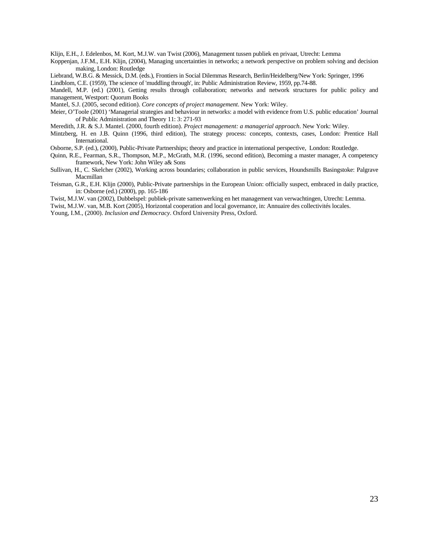Klijn, E.H., J. Edelenbos, M. Kort, M.J.W. van Twist (2006), Management tussen publiek en privaat, Utrecht: Lemma

Koppenjan, J.F.M., E.H. Klijn, (2004), Managing uncertainties in networks; a network perspective on problem solving and decision making, London: Routledge

Liebrand, W.B.G. & Messick, D.M. (eds.), Frontiers in Social Dilemmas Research, Berlin/Heidelberg/New York: Springer, 1996

Lindblom, C.E. (1959), The science of 'muddling through', in: Public Administration Review, 1959, pp.74-88.

Mandell, M.P. (ed.) (2001), Getting results through collaboration; networks and network structures for public policy and management, Westport: Quorum Books

Mantel, S.J. (2005, second edition). *Core concepts of project management*. New York: Wiley.

Meier, O'Toole (2001) 'Managerial strategies and behaviour in networks: a model with evidence from U.S. public education' Journal of Public Administration and Theory 11: 3: 271-93

Meredith, J.R. & S.J. Mantel. (2000, fourth edition). *Project management: a managerial approach*. New York: Wiley.

Mintzberg, H. en J.B. Quinn (1996, third edition), The strategy process: concepts, contexts, cases, London: Prentice Hall International.

Osborne, S.P. (ed.), (2000), Public-Private Partnerships; theory and practice in international perspective, London: Routledge.

- Quinn, R.E., Fearman, S.R., Thompson, M.P., McGrath, M.R. (1996, second edition), Becoming a master manager, A competency framework, New York: John Wiley a& Sons
- Sullivan, H., C. Skelcher (2002), Working across boundaries; collaboration in public services, Houndsmills Basingstoke: Palgrave Macmillan
- Teisman, G.R., E.H. Klijn (2000), Public-Private partnerships in the European Union: officially suspect, embraced in daily practice, in: Osborne (ed.) (2000), pp. 165-186

Twist, M.J.W. van (2002), Dubbelspel: publiek-private samenwerking en het management van verwachtingen, Utrecht: Lemma.

Twist, M.J.W. van, M.B. Kort (2005), Horizontal cooperation and local governance, in: Annuaire des collectivités locales.

Young, I.M., (2000). *Inclusion and Democracy*. Oxford University Press, Oxford.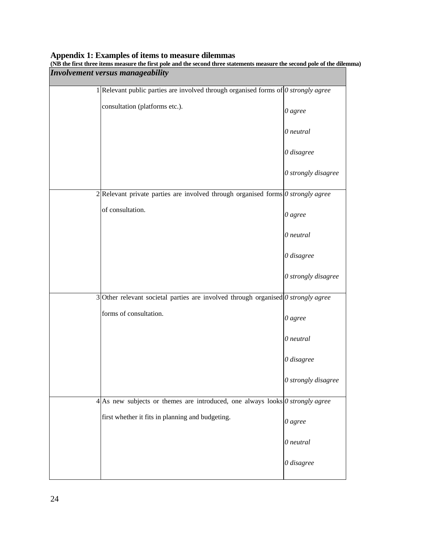#### **Appendix 1: Examples of items to measure dilemmas**

| are those three nems measure the mot pole and the second three statements measure the second<br>Involvement versus manageability | oore or the time    |
|----------------------------------------------------------------------------------------------------------------------------------|---------------------|
| 1 Relevant public parties are involved through organised forms of $\theta$ strongly agree                                        |                     |
| consultation (platforms etc.).                                                                                                   | $0$ agree           |
|                                                                                                                                  | 0 neutral           |
|                                                                                                                                  | 0 disagree          |
|                                                                                                                                  | 0 strongly disagree |
| 2 Relevant private parties are involved through organised forms $\theta$ strongly agree                                          |                     |
| of consultation.                                                                                                                 | $0$ agree           |
|                                                                                                                                  | $0$ neutral         |
|                                                                                                                                  | 0 disagree          |
|                                                                                                                                  | 0 strongly disagree |
| 3 Other relevant societal parties are involved through organised $\theta$ strongly agree                                         |                     |
| forms of consultation.                                                                                                           | $0$ agree           |
|                                                                                                                                  | $0$ neutral         |
|                                                                                                                                  | 0 disagree          |
|                                                                                                                                  | 0 strongly disagree |
| $4$ As new subjects or themes are introduced, one always looks $\theta$ strongly agree                                           |                     |
| first whether it fits in planning and budgeting.                                                                                 | $0$ agree           |
|                                                                                                                                  | $0$ neutral         |
|                                                                                                                                  | 0 disagree          |

**(NB the first three items measure the first pole and the second three statements measure the second pole of the dilemma)**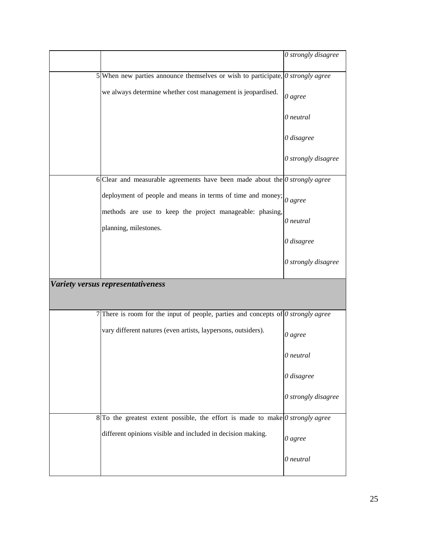|                                                                                               | 0 strongly disagree |
|-----------------------------------------------------------------------------------------------|---------------------|
| 5 When new parties announce themselves or wish to participate, $\int$ <i>o strongly agree</i> |                     |
| we always determine whether cost management is jeopardised.                                   | $0$ agree           |
|                                                                                               | 0 neutral           |
|                                                                                               | 0 disagree          |
|                                                                                               | 0 strongly disagree |
| 6 Clear and measurable agreements have been made about the $\theta$ strongly agree            |                     |
| deployment of people and means in terms of time and money; $\Big _{0}$ agree                  |                     |
| methods are use to keep the project manageable: phasing,<br>planning, milestones.             | $0$ neutral         |
|                                                                                               | 0 disagree          |
|                                                                                               | 0 strongly disagree |
| Variety versus representativeness                                                             |                     |
| 7 There is room for the input of people, parties and concepts of $\theta$ strongly agree      |                     |
| vary different natures (even artists, laypersons, outsiders).                                 | $0$ agree           |
|                                                                                               | 0 neutral           |
|                                                                                               | $0$ disagree        |
|                                                                                               | 0 strongly disagree |
| 8 To the greatest extent possible, the effort is made to make $\theta$ strongly agree         |                     |
| different opinions visible and included in decision making.                                   | $0$ agree           |
|                                                                                               | 0 neutral           |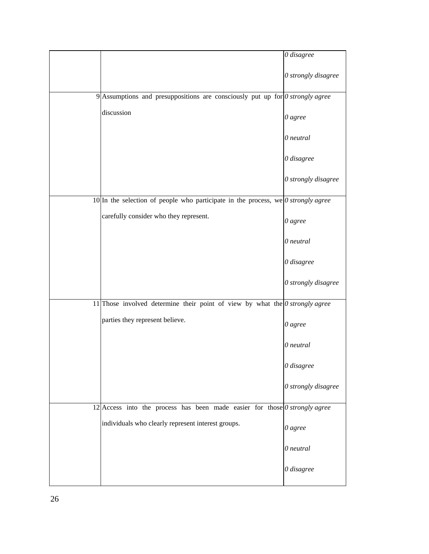|                                                                                      | 0 disagree          |
|--------------------------------------------------------------------------------------|---------------------|
|                                                                                      | 0 strongly disagree |
| 9 Assumptions and presuppositions are consciously put up for $\theta$ strongly agree |                     |
| discussion                                                                           | $0$ agree           |
|                                                                                      | $0$ neutral         |
|                                                                                      | 0 disagree          |
|                                                                                      | 0 strongly disagree |
| 10 In the selection of people who participate in the process, we 0 strongly agree    |                     |
| carefully consider who they represent.                                               | $0$ agree           |
|                                                                                      | $0$ neutral         |
|                                                                                      | 0 disagree          |
|                                                                                      | 0 strongly disagree |
| 11 Those involved determine their point of view by what the $\theta$ strongly agree  |                     |
| parties they represent believe.                                                      | $0$ agree           |
|                                                                                      | $0$ neutral         |
|                                                                                      | 0 disagree          |
|                                                                                      | 0 strongly disagree |
| 12 Access into the process has been made easier for those $\theta$ strongly agree    |                     |
| individuals who clearly represent interest groups.                                   | $0$ agree           |
|                                                                                      | $0$ neutral         |
|                                                                                      | 0 disagree          |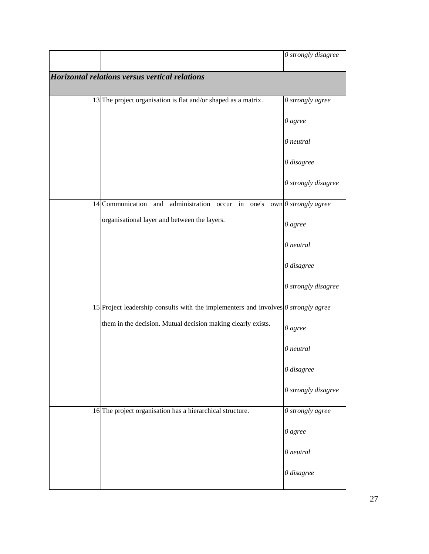|                                                                                           | 0 strongly disagree |
|-------------------------------------------------------------------------------------------|---------------------|
| Horizontal relations versus vertical relations                                            |                     |
|                                                                                           |                     |
| 13 The project organisation is flat and/or shaped as a matrix.                            | 0 strongly agree    |
|                                                                                           | 0 agree             |
|                                                                                           | 0 neutral           |
|                                                                                           | 0 disagree          |
|                                                                                           | 0 strongly disagree |
| 14 Communication and administration occur in one's own $\theta$ strongly agree            |                     |
| organisational layer and between the layers.                                              | 0 agree             |
|                                                                                           | $0$ neutral         |
|                                                                                           | 0 disagree          |
|                                                                                           | 0 strongly disagree |
| 15 Project leadership consults with the implementers and involves $\theta$ strongly agree |                     |
| them in the decision. Mutual decision making clearly exists.                              | 0 agree             |
|                                                                                           | 0 neutral           |
|                                                                                           | 0 disagree          |
|                                                                                           | 0 strongly disagree |
| 16 The project organisation has a hierarchical structure.                                 | 0 strongly agree    |
|                                                                                           | 0 agree             |
|                                                                                           | 0 neutral           |
|                                                                                           | 0 disagree          |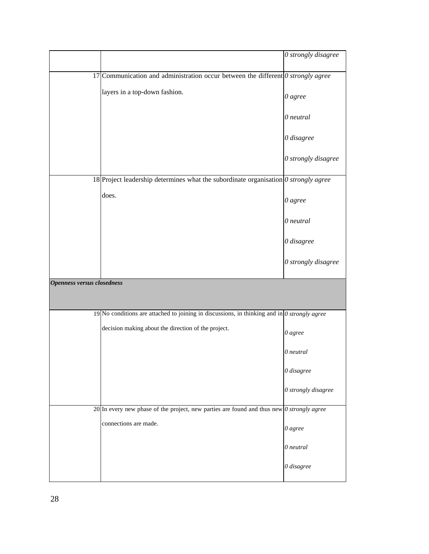|                            |                                                                                                     | 0 strongly disagree |
|----------------------------|-----------------------------------------------------------------------------------------------------|---------------------|
|                            | 17 Communication and administration occur between the different $\theta$ strongly agree             |                     |
|                            | layers in a top-down fashion.                                                                       | $0$ agree           |
|                            |                                                                                                     | 0 neutral           |
|                            |                                                                                                     | 0 disagree          |
|                            |                                                                                                     | 0 strongly disagree |
|                            | 18 Project leadership determines what the subordinate organisation $\partial$ strongly agree        |                     |
|                            | does.                                                                                               | 0 agree             |
|                            |                                                                                                     | 0 neutral           |
|                            |                                                                                                     | 0 disagree          |
|                            |                                                                                                     | 0 strongly disagree |
| Openness versus closedness |                                                                                                     |                     |
|                            |                                                                                                     |                     |
|                            | 19 No conditions are attached to joining in discussions, in thinking and in $\theta$ strongly agree |                     |
|                            | decision making about the direction of the project.                                                 | 0 agree             |
|                            |                                                                                                     | 0 neutral           |
|                            |                                                                                                     | 0 disagree          |
|                            |                                                                                                     | 0 strongly disagree |
|                            | 20 In every new phase of the project, new parties are found and thus new $\theta$ strongly agree    |                     |
|                            | connections are made.                                                                               | 0 agree             |
|                            |                                                                                                     | $0$ neutral         |
|                            |                                                                                                     | $0$ disagree        |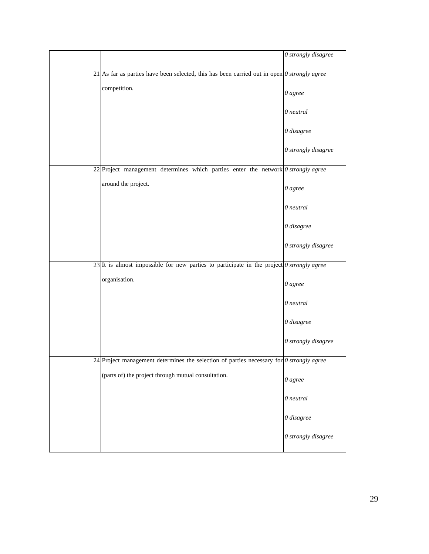|                                                                                                    | 0 strongly disagree |
|----------------------------------------------------------------------------------------------------|---------------------|
| 21 As far as parties have been selected, this has been carried out in open $\theta$ strongly agree |                     |
| competition.                                                                                       | $0$ agree           |
|                                                                                                    | $0$ neutral         |
|                                                                                                    | 0 disagree          |
|                                                                                                    | 0 strongly disagree |
| 22 Project management determines which parties enter the network $\theta$ strongly agree           |                     |
| around the project.                                                                                | 0 agree             |
|                                                                                                    | $0$ neutral         |
|                                                                                                    | 0 disagree          |
|                                                                                                    | 0 strongly disagree |
| 23 It is almost impossible for new parties to participate in the project $\theta$ strongly agree   |                     |
| organisation.                                                                                      | $0$ agree           |
|                                                                                                    | $0$ neutral         |
|                                                                                                    | 0 disagree          |
|                                                                                                    | 0 strongly disagree |
| 24 Project management determines the selection of parties necessary for $\int$ o strongly agree    |                     |
| (parts of) the project through mutual consultation.                                                | 0 agree             |
|                                                                                                    | $0$ neutral         |
|                                                                                                    | 0 disagree          |
|                                                                                                    | 0 strongly disagree |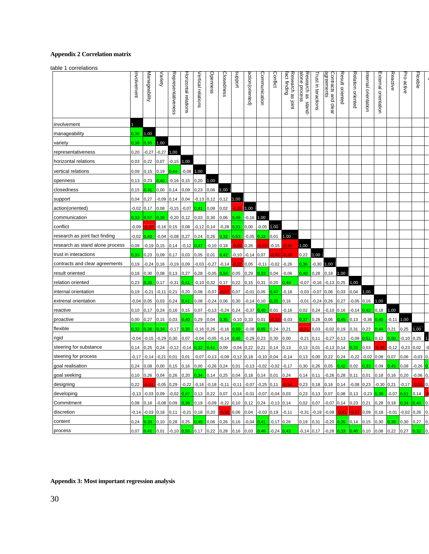#### **Appendix 2 Correlation matrix**

table 1 correlations

|                                 | nvolvement | Manageability | Variety      | Representativeness | Horizontal relations | /ertical<br>relations | Openness        | Closedness      | prodans           | action (oriented) | Communication     | Conflict          | Research as joint<br>fact finding | alone process<br>Research as stand- | Frust in teractions | agreements<br>Contracts and clear | Result oriented | Relation oriented | nternal<br>orientation | External orientation | Reactive | Pro-active     | Flexible  |  |
|---------------------------------|------------|---------------|--------------|--------------------|----------------------|-----------------------|-----------------|-----------------|-------------------|-------------------|-------------------|-------------------|-----------------------------------|-------------------------------------|---------------------|-----------------------------------|-----------------|-------------------|------------------------|----------------------|----------|----------------|-----------|--|
| involvement                     |            |               |              |                    |                      |                       |                 |                 |                   |                   |                   |                   |                                   |                                     |                     |                                   |                 |                   |                        |                      |          |                |           |  |
| manageability                   | 0,36       | 1,00          |              |                    |                      |                       |                 |                 |                   |                   |                   |                   |                                   |                                     |                     |                                   |                 |                   |                        |                      |          |                |           |  |
| variety                         | 0,38       | 0,55          | 1,00         |                    |                      |                       |                 |                 |                   |                   |                   |                   |                                   |                                     |                     |                                   |                 |                   |                        |                      |          |                |           |  |
| representativeness              | 0,20       | $-0,27$       | -0,27        | 1,00               |                      |                       |                 |                 |                   |                   |                   |                   |                                   |                                     |                     |                                   |                 |                   |                        |                      |          |                |           |  |
| horizontal relations            | 0,03       | 0,22          | 0,07         | $-0, 15$ 1,00      |                      |                       |                 |                 |                   |                   |                   |                   |                                   |                                     |                     |                                   |                 |                   |                        |                      |          |                |           |  |
| vertical relations              | 0,09       | 0, 15         | 0, 19        | ,44                | $-0,08$              | 1,00                  |                 |                 |                   |                   |                   |                   |                                   |                                     |                     |                                   |                 |                   |                        |                      |          |                |           |  |
| openness                        | 0,13       | 0,23          | 0.40         | $-0, 16$           | 0, 15                | 0,20                  | 1,00            |                 |                   |                   |                   |                   |                                   |                                     |                     |                                   |                 |                   |                        |                      |          |                |           |  |
| closedness                      | 0, 15      | .41           | 0,00         | 0,14               | 0,09                 | 0,23                  | 0,06            | 1,00            |                   |                   |                   |                   |                                   |                                     |                     |                                   |                 |                   |                        |                      |          |                |           |  |
| support                         | 0,04       | 0,27          |              | $-0,09$ 0,14       | 0,04                 | $-0,13$ 0,12          |                 | 0,12            | 1,00              |                   |                   |                   |                                   |                                     |                     |                                   |                 |                   |                        |                      |          |                |           |  |
| action(oriented)                | $-0,02$    | 0,17          | 0,08         | $-0, 15$           | $-0,07$              | 0,41                  | 0,08            | 0,02            | 0,35              | 1,00              |                   |                   |                                   |                                     |                     |                                   |                 |                   |                        |                      |          |                |           |  |
| communication                   | , 33       | 0,57          | 0,39         | $-0,20$ 0,12       |                      | 0,03                  | 0,30            | 0,06            | 0,49              | $-0,16$ 1,00      |                   |                   |                                   |                                     |                     |                                   |                 |                   |                        |                      |          |                |           |  |
| conflict                        | $-0,09$    | 0.37          |              | $-0,16$ 0,15       | 0,08                 | $-0,12$               | 0, 14           | $-0,28$         | 0,31              | 0,00              | $-0,05$ 1,00      |                   |                                   |                                     |                     |                                   |                 |                   |                        |                      |          |                |           |  |
| research as joint fact finding  | $-0,02$    | .43           | $-0,04$      | -0,08              | 0,27                 | 0,24                  | 0,26            | 32 <sub>1</sub> | 0,53              | $-0,05$           | 0.33 <sub>1</sub> | 0,01              | 1,00                              |                                     |                     |                                   |                 |                   |                        |                      |          |                |           |  |
| research as stand alone process | 0,09       |               | $-0,19$ 0,15 | 0,14               | $-0,12$              | 0,47                  | $-0,10$ 0,18    |                 | 0.49              | 0,26              | 0.33              | $-0, 15$          | 0,34                              | 1,00                                |                     |                                   |                 |                   |                        |                      |          |                |           |  |
| trust in interactions           | 0,33       | 0,23          | 0,09         | 0,17               | 0,03                 | 0,05                  | 0,01            | 0,42            |                   | $-0,10$ $-0,14$   | 0,07              | 0.40 <sub>1</sub> | 0,35                              | $0,22$ 1,00                         |                     |                                   |                 |                   |                        |                      |          |                |           |  |
| contracts and clear agreements  | 0, 19      | $-0,24$       | 0, 16        | $-0,19$ 0,09       |                      | $-0,03$               | $-0,27$         | $-0,14$         | 0.32              | 0,05              | $-0, 11$          | $-0,02$           | $-0,26$                           | ,36                                 | $-0,30$             | 1,00                              |                 |                   |                        |                      |          |                |           |  |
| result oriented                 | 0, 18      | 0,30          | 0,08         | 0, 13              | 0,27                 | 0,28                  | $-0,05$         | 0,54            | 0,05              | 0,29              | 0.33              | 0,04              | $-0,06$                           | ,40                                 | 0,28                | 0,18                              | 1,00            |                   |                        |                      |          |                |           |  |
| relation oriented               | 0,23       | .35           | 0,17         | $-0,31$            | 0,41                 | $-0, 10$              | 0,32            | 0,17            | 0,22              | 0, 15             | 0,31              | 0,20              | .44                               | $-0,07$                             | $-0,16$             | $-0,13$                           | 0,25            | 1,00              |                        |                      |          |                |           |  |
| internal orientation            | 0, 19      | $-0,21$       |              | $-0,11$ 0,21       | 0,20                 | 0,08                  | $-0,07$         | 0,47            | 0,07              | $-0,01$ 0,05      |                   | 0,47              | $-0,18$                           | $-0,03$                             | $-0,07$             | 0,06                              | 0,03            | 0,04              | 1,00                   |                      |          |                |           |  |
| extrenal orientation            | $-0,04$    | 0,05          | 0,03         | 0,24               | 0.41                 | 0,08                  | $-0,24$ 0,06    |                 | 0,30              | $-0,14$ 0,10      |                   | 0,35              | 0, 16                             | -0,01                               | $-0,24$             | 0,26                              | 0,27            |                   | $-0,05$ 0,16 1,00      |                      |          |                |           |  |
| reactive                        | 0, 10      | 0,17          | 0,24         | 0, 16              | 0, 15                | 0,07                  | $-0,13$         | $-0,24$         | 0,24              | $-0,37$           | 0,40              | 0,01              | $-0,16$                           | 0,02                                | 0,24                | $-0, 10$                          | 0, 16           | $-0, 14$          | 0,42                   | 0,18                 | 1,00     |                |           |  |
| proactive                       | 0,00       | 0,27          | 0, 15        | 0,03               | 0.40 <sub>1</sub>    | 0,29                  | 0,04            | $, 35^{-}$      | $-0, 10$          | 0,33              | 0,01              | 0.33              | $-0,03$                           | ,37                                 | 0,28                | 0,06                              | ,45             | 0, 13             | $-0,36$                | ,40                  | $-0,11$  | 1,00           |           |  |
| flexible                        | , 32       | .36           | 0.34         | $-0,17$            | ,35                  | $-0,16$               | 0,26            | $-0, 16$        | 0.50 <sub>1</sub> | $-0,08$           | 0.65              | 0,24              | 0,21                              | 31                                  | 0,03                | $-0,02$ 0,19                      |                 | 0,31              | 0,22                   | ,44                  | 0,21     | 0,25           | 1,00      |  |
| rigid                           | 0,04       | $-0,15$       | $-0,29$      | 0,30               | 0,07                 | $-0,04$               | $-0,05$         | $-0, 14$        | 0,45              | $-0,29$           | 0,23              | 0,30              | 0,00                              | $-0,21$ 0,11                        |                     |                                   | $-0,27$ 0,13    | $-0,09$           | 0,51                   | 0, 12                | 0,50     | $-0,10$ $0,25$ |           |  |
| steering for substance          | 0,14       | 0,25          | 0,24         | $-0,12$            | $-0,14$              | 0,32                  | 0,41            | 0,09            |                   | $-0,04$ 0,22      | 0,21              | 0,14              | 0, 13                             | 0,13                                | 0,01                | $-0,13$ 0,14                      |                 | , 33              | 0,03                   | , 36                 | $-0,12$  | $-0,23$        | 0,02      |  |
| steering for process            | $-0,17$    | $-0,14$       | $-0,21$      | 0,01               | 0,01                 | $-0,07$               | $-0, 13$        | $-0,09$         | $-0,12$           | 0,18              | -0,10             | 0,04              | $-0, 14$                          | 0,13                                | 0,00                | 0,22                              | 0,24            | $-0,22$           | $-0,02$                | 0,08                 | 0,07     | 0,06           | $-0,03$ 0 |  |
| goal realisation                | 0,24       | 0,08          | 0,00         | 0, 15              | 0, 16                | 0,00                  | $-0,26$         | 0,24            | 0,01              | $-0, 13$          | $-0,02$           | $-0,02$           | $-0,17$                           | 0,30                                | 0,26                | 0,05                              | 0,42            | 0,02              | 0,33                   | 0,09                 | ),45     | 0,08           | $-0,26$   |  |
| goal seeking                    | 0, 10      | 0,26          | 0,04         | 0,26               | 0,20                 | 0.34                  | 0,14            | 0,25            | 0,04              | 0,18              | 0,14              | 0,01              | 0,24                              | 0,14                                | 0,11                | $-0,26$                           | 0,28            | 0,11              | 0,01                   | 0, 18                | 0, 16    | 0,20           | $-0,06$ 0 |  |
| designing                       | 0,22       | 0.41          | $-0,05$      | 0,29               | $-0,22$              | $-0,16$               | $-0,18$ $-0,11$ |                 | $-0,11$           | $-0,07$           | $-0,25$           | 0,11              | 0,54                              | 0,23                                | 0, 18               | 0, 16                             | 0,14            | $-0,08$           | 0,23                   | $-0,30$              | 0,21     | $-0,17$        | 33        |  |
| developing                      | $-0,13$    | $-0,03$       | 0,09         | $-0,02$            | 0,47                 | 0, 13                 | 0,22            | 0,07            | $-0, 14$          | $-0,01$           | $-0,07$           | $-0,04$ 0,03      |                                   | 0,23                                | 0, 13               | 0,07                              | 0,08            | 0,13              | $-0,23$                | ,39                  | $-0,07$  | , 51           | 0,14      |  |
| Commitment                      | 0,08       | 0, 16         | 0,08         | 0,09               | 0,36                 | 0, 19                 | $-0,09$         | $-0,22$         | 0, 10             | 0,12              | 0,24              | $-0,13$ 0,14      |                                   | 0,02                                | 0,07                | $-0,07$                           | 0,14            | 0,23              | 0,21                   | 0,28                 | 0, 18    | , 34           | ,43       |  |
| discretion                      | $-0,14$    | $-0,03$       | 0, 18        | 0, 11              | $-0,21$ 0,18         |                       | 0,20            | 0,36            | 0,06              | 0,04              |                   | $-0,03$ 0,19      | $-0, 11$                          | $-0,31$                             | $-0,19$             | $-0,08$                           | 0.41            | 0,47              | 0,09                   | 0,18                 | $-0,01$  | $-0,02$        | 0,26      |  |
| content                         | 0,24       | , 33          | 0, 10        | 0,28               | 0,25                 | ,45                   | 0,06            | 0,26            | 0, 16             | $-0,04$           | 0.41              | $-0,17$           | 0,26                              | 0, 19                               | 0,31                | $-0,20$                           | 1.35            | 0,14              | 0, 15                  | 0,30                 | , 38     | 0,30           | 0,27      |  |
| process                         | 0,07       | .41           | 0,01         | -0.10              | .55                  | 0,17                  | 0,22            | 0,28            | 0, 16             | 0,03              | .46               | $-0,24$           | 43                                | $-0, 14$                            | 0,17                | 0,28                              | 0.33            | 0.40              | 0, 10                  | 0,08                 | 0,22     | 0.27           |           |  |

#### **Appendix 3: Most important regression analysis**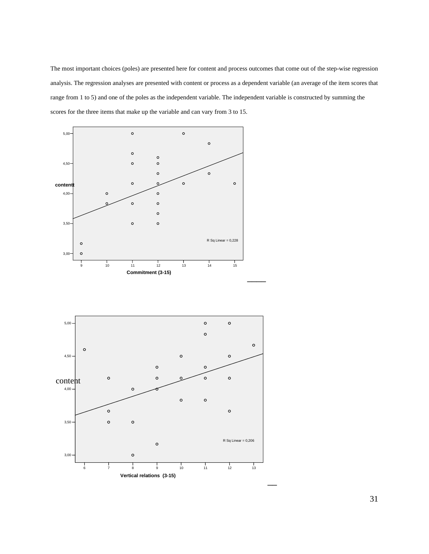The most important choices (poles) are presented here for content and process outcomes that come out of the step-wise regression analysis. The regression analyses are presented with content or process as a dependent variable (an average of the item scores that range from 1 to 5) and one of the poles as the independent variable. The independent variable is constructed by summing the scores for the three items that make up the variable and can vary from 3 to 15.

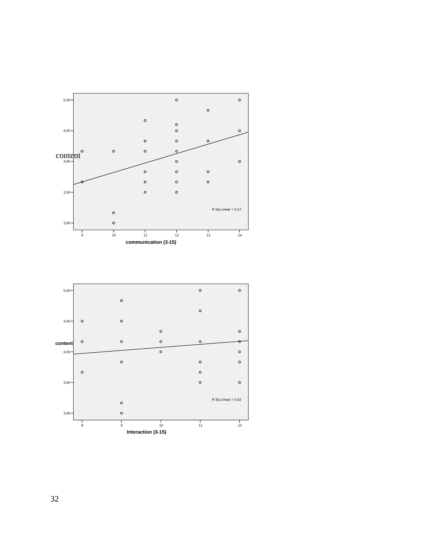

32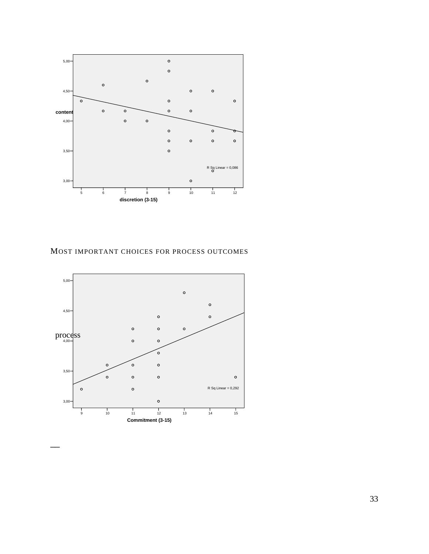

MOST IMPORTANT CHOICES FOR PROCESS OUTCOMES



 $\overline{\phantom{a}}$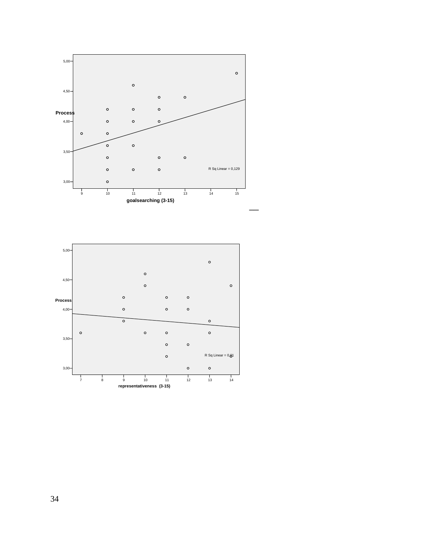